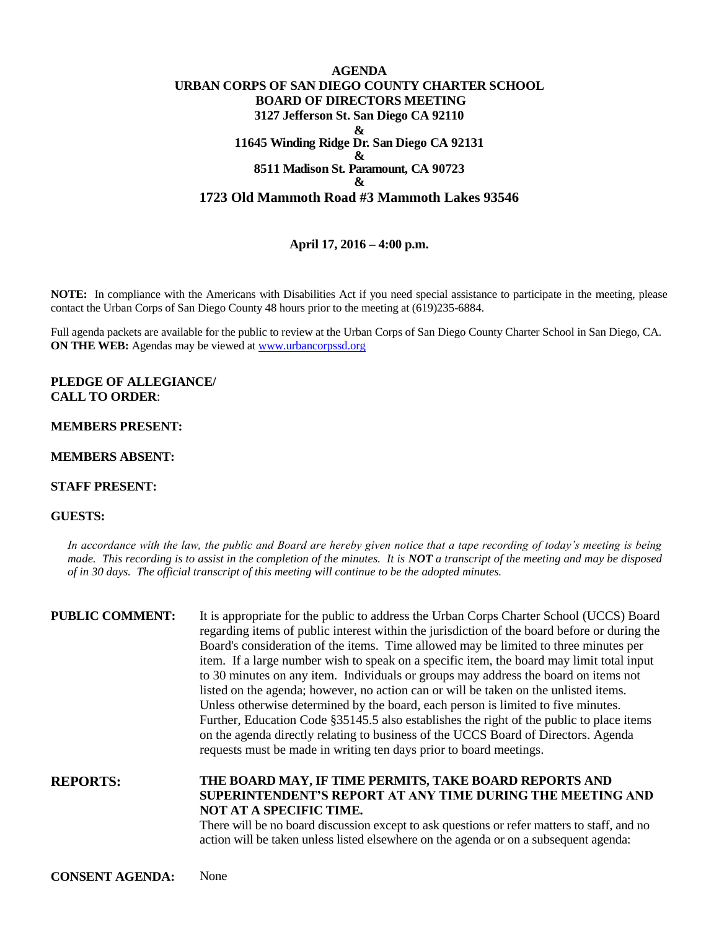## **AGENDA URBAN CORPS OF SAN DIEGO COUNTY CHARTER SCHOOL BOARD OF DIRECTORS MEETING 3127 Jefferson St. San Diego CA 92110 & 11645 Winding Ridge Dr. San Diego CA 92131 & 8511 Madison St. Paramount, CA 90723 & 1723 Old Mammoth Road #3 Mammoth Lakes 93546**

# **April 17, 2016 – 4:00 p.m.**

**NOTE:** In compliance with the Americans with Disabilities Act if you need special assistance to participate in the meeting, please contact the Urban Corps of San Diego County 48 hours prior to the meeting at (619)235-6884.

Full agenda packets are available for the public to review at the Urban Corps of San Diego County Charter School in San Diego, CA. **ON THE WEB:** Agendas may be viewed at [www.urbancorpssd.org](http://www.urbancorpssd.org/)

**PLEDGE OF ALLEGIANCE/ CALL TO ORDER**:

## **MEMBERS PRESENT:**

#### **MEMBERS ABSENT:**

#### **STAFF PRESENT:**

## **GUESTS:**

*In accordance with the law, the public and Board are hereby given notice that a tape recording of today's meeting is being made. This recording is to assist in the completion of the minutes. It is NOT a transcript of the meeting and may be disposed of in 30 days. The official transcript of this meeting will continue to be the adopted minutes.*

| <b>PUBLIC COMMENT:</b> | It is appropriate for the public to address the Urban Corps Charter School (UCCS) Board<br>regarding items of public interest within the jurisdiction of the board before or during the<br>Board's consideration of the items. Time allowed may be limited to three minutes per<br>item. If a large number wish to speak on a specific item, the board may limit total input<br>to 30 minutes on any item. Individuals or groups may address the board on items not<br>listed on the agenda; however, no action can or will be taken on the unlisted items.<br>Unless otherwise determined by the board, each person is limited to five minutes.<br>Further, Education Code §35145.5 also establishes the right of the public to place items<br>on the agenda directly relating to business of the UCCS Board of Directors. Agenda<br>requests must be made in writing ten days prior to board meetings. |
|------------------------|----------------------------------------------------------------------------------------------------------------------------------------------------------------------------------------------------------------------------------------------------------------------------------------------------------------------------------------------------------------------------------------------------------------------------------------------------------------------------------------------------------------------------------------------------------------------------------------------------------------------------------------------------------------------------------------------------------------------------------------------------------------------------------------------------------------------------------------------------------------------------------------------------------|
|                        |                                                                                                                                                                                                                                                                                                                                                                                                                                                                                                                                                                                                                                                                                                                                                                                                                                                                                                          |

**REPORTS: THE BOARD MAY, IF TIME PERMITS, TAKE BOARD REPORTS AND SUPERINTENDENT'S REPORT AT ANY TIME DURING THE MEETING AND NOT AT A SPECIFIC TIME.**

There will be no board discussion except to ask questions or refer matters to staff, and no action will be taken unless listed elsewhere on the agenda or on a subsequent agenda: